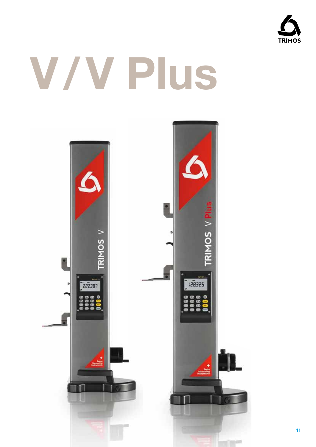

# V/V Plus

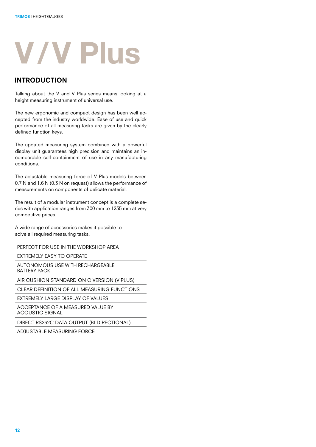## **V / V Plus**

#### INTRODUCTION

Talking about the V and V Plus series means looking at a height measuring instrument of universal use.

The new ergonomic and compact design has been well accepted from the industry worldwide. Ease of use and quick performance of all measuring tasks are given by the clearly defined function keys.

The updated measuring system combined with a powerful display unit guarantees high precision and maintains an incomparable self-containment of use in any manufacturing conditions.

The adjustable measuring force of V Plus models between 0.7 N and 1.6 N (0.3 N on request) allows the performance of measurements on components of delicate material.

The result of a modular instrument concept is a complete series with application ranges from 300 mm to 1235 mm at very competitive prices.

A wide range of accessories makes it possible to solve all required measuring tasks.

Perfect for use in the workshop area

Extremely easy to operate

Autonomous use with rechargeable battery pack

Air cushion standard on C version (V PLUS)

CLEAR DEFINITION OF ALL MEASURING FUNCTIONS

Extremely large display of values

Acceptance of a measured value by acoustic signal

DIRECT RS232C DATA OUTPUT (BI-DIRECTIONAL)

Adjustable measuring force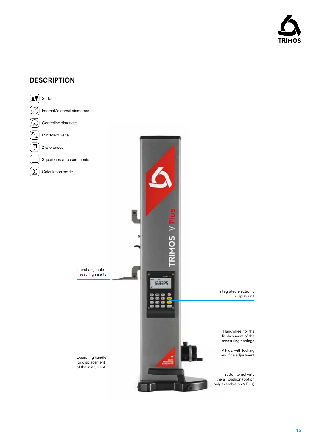

#### **DESCRIPTION**

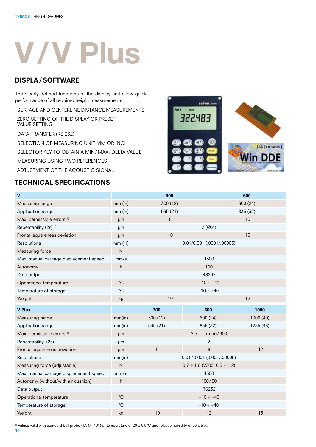# **V / V Plus**

#### DISPLA/SOFTWARE

The clearly defined functions of the display unit allow quick performance of all required height measurements.

Surface and centerline distance measurements

Zero setting of the display or preset value setting

DATA TRANSFER (RS 232)

SELECTION OF MEASURING UNIT MM OR INCH

Selector key to obtain a Min/Max/ Delta value

Measuring using two references

Adjustment of the acoustic signal

#### TECHNICAL SPECIFICATIONS



| $\mathbf{V}$                            |                   | 300                       |                                        | 600       |
|-----------------------------------------|-------------------|---------------------------|----------------------------------------|-----------|
| Measuring range                         | $mm$ (in)         | 300 (12)<br>600 (24)      |                                        |           |
| Application range                       | $mm$ (in)         | 535 (21)<br>835 (32)      |                                        |           |
| Max. permissible errors <sup>1)</sup>   | <b>um</b>         | 8<br>10                   |                                        |           |
| Repeatability (2s) <sup>1)</sup>        | µm                | 2(Ø:4)                    |                                        |           |
| Frontal squareness deviation            | µm                | 10<br>15                  |                                        |           |
| Resolutions                             | mm (in)           | 0.01/0.001 (.0001/.00005) |                                        |           |
| Measuring force                         | ${\sf N}$         | $\mathbf{1}$              |                                        |           |
| Max. manual carriage displacement speed | mm/s              | 1500                      |                                        |           |
| Autonomy                                | h                 | 100                       |                                        |           |
| Data output                             |                   | <b>RS232</b>              |                                        |           |
| Operational temperature                 | $^{\circ}{\rm C}$ | $+10 \div +40$            |                                        |           |
| Temperature of storage                  | $^{\circ}$ C      | $-10 \div +40$            |                                        |           |
| Weight                                  | kg                | 10<br>12                  |                                        |           |
|                                         |                   |                           |                                        |           |
| <b>V Plus</b>                           |                   | 300                       | 600                                    | 1000      |
| Measuring range                         | mm(in)            | 300 (12)                  | 600 (24)                               | 1000 (40) |
| Application range                       | mm(in)            | 535 (21)                  | 835 (32)                               | 1235 (48) |
| Max. permissible errors <sup>1)</sup>   | µm                |                           | $2.5 + L$ (mm) / 300                   |           |
| Repeatability (2s) <sup>1)</sup>        | μm                |                           | $\overline{2}$                         |           |
| Frontal squareness deviation            | <b>um</b>         | 5                         | 8                                      | 12        |
| Resolutions                             | mm(in)            |                           | $0.01 / 0.001$ (.0001/.00005)          |           |
| Measuring force (adjustable)            | $\mathsf{N}$      |                           | $0.7 \div 1.6$ (V305: $0.3 \div 1.2$ ) |           |
| Max. manual carriage displacement speed | mm/s              |                           | 1500                                   |           |
| Autonomy (without/with air cushion)     | h                 |                           | 100/30                                 |           |
| Data output                             |                   |                           | <b>RS232</b>                           |           |
| Operational temperature                 | $^{\circ}{\rm C}$ |                           | $+10 \div +40$                         |           |
| Temperature of storage                  | $^{\circ}C$       |                           | $-10 \div +40$                         |           |

<sup>1)</sup> Values valid with standard ball probe (TA-MI-101) at temperature of 20 ± 0.5°C and relative humidity of 50 ± 5%.

14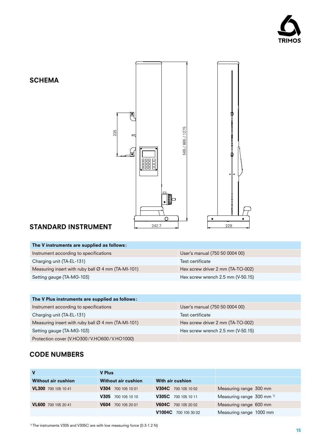

#### **SCHEMA**



#### STANDARD INSTRUMENT

| The V instruments are supplied as follows:                     |                                   |
|----------------------------------------------------------------|-----------------------------------|
| Instrument according to specifications                         | User's manual (750 50 0004 00)    |
| Charging unit (TA-EL-131)                                      | Test certificate                  |
| Measuring insert with ruby ball $\varnothing$ 4 mm (TA-MI-101) | Hex screw driver 2 mm (TA-TO-002) |
| Setting gauge (TA-MG-103)                                      | Hex screw wrench 2.5 mm (V-50.15) |
|                                                                |                                   |

| The V Plus instruments are supplied as follows:                |                                   |  |  |  |  |
|----------------------------------------------------------------|-----------------------------------|--|--|--|--|
| Instrument according to specifications                         | User's manual (750 50 0004 00)    |  |  |  |  |
| Charging unit (TA-EL-131)                                      | Test certificate                  |  |  |  |  |
| Measuring insert with ruby ball $\varnothing$ 4 mm (TA-MI-101) | Hex screw driver 2 mm (TA-TO-002) |  |  |  |  |
| Setting gauge (TA-MG-103)                                      | Hex screw wrench 2.5 mm (V-50.15) |  |  |  |  |
| Protection cover (V.HO300/V.HO600/V.HO1000)                    |                                   |  |  |  |  |
|                                                                |                                   |  |  |  |  |

#### CODE NUMBERs

| V                          | <b>V</b> Plus       |                      |                                      |
|----------------------------|---------------------|----------------------|--------------------------------------|
| <b>Without air cushion</b> | Without air cushion | With air cushion     |                                      |
| VL300 700 105 10 41        | V304 700 105 10 01  | V304C 700 105 10 02  | Measuring range 300 mm               |
|                            | V305 700 105 10 10  | V305C 700 105 10 11  | Measuring range 300 mm <sup>1)</sup> |
| VL600 700 105 20 41        | V604 700 105 20 01  | V604C 700 105 20 02  | Measuring range 600 mm               |
|                            |                     | V1004C 700 105 30 02 | Measuring range 1000 mm              |

<sup>1)</sup> The instruments V305 and V305C are with low measuring force (0.3-1.2 N)